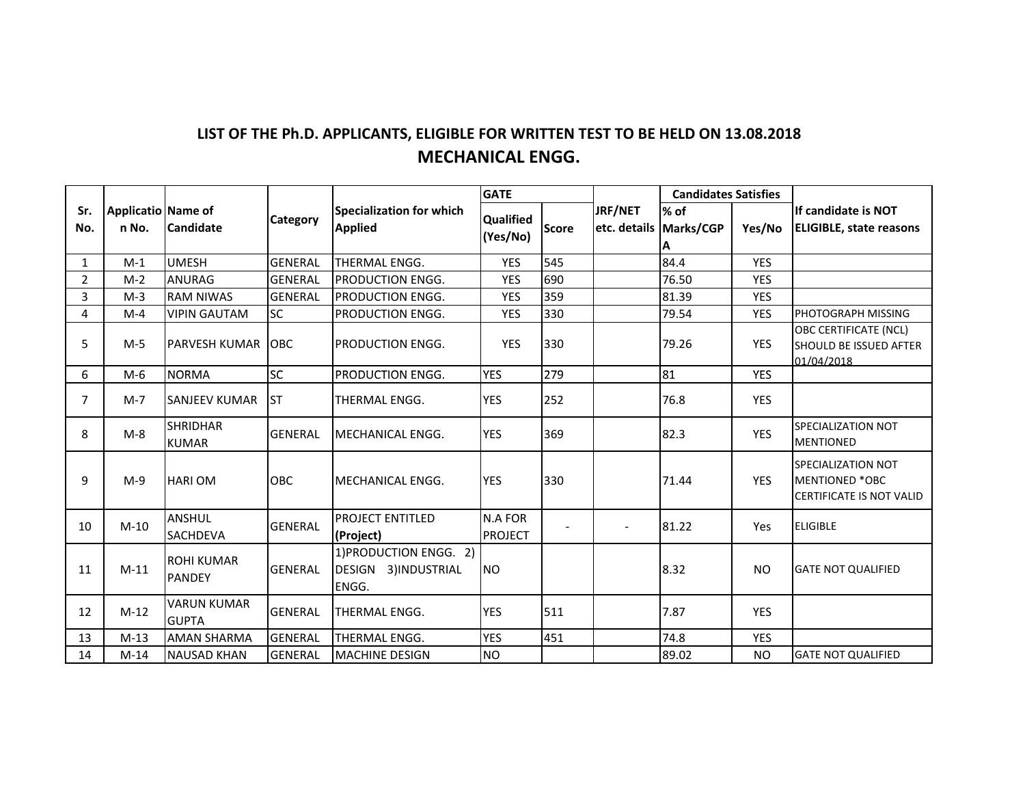## **LIST OF THE Ph.D. APPLICANTS, ELIGIBLE FOR WRITTEN TEST TO BE HELD ON 13.08.2018 MECHANICAL ENGG.**

|                |                    |                                    | <b>Category</b> | <b>Specialization for which</b><br><b>Applied</b>      | <b>GATE</b>                      |              |         | <b>Candidates Satisfies</b> |            |                                                                                |
|----------------|--------------------|------------------------------------|-----------------|--------------------------------------------------------|----------------------------------|--------------|---------|-----------------------------|------------|--------------------------------------------------------------------------------|
| Sr.            | Applicatio Name of |                                    |                 |                                                        | <b>Qualified</b>                 |              | JRF/NET | % of                        |            | llf candidate is NOT                                                           |
| No.            | n No.              | Candidate                          |                 |                                                        | (Yes/No)                         | <b>Score</b> |         | etc. details   Marks/CGP    | Yes/No     | <b>ELIGIBLE, state reasons</b>                                                 |
| $\mathbf{1}$   | $M-1$              | <b>UMESH</b>                       | <b>GENERAL</b>  | THERMAL ENGG.                                          | <b>YES</b>                       | 545          |         | 84.4                        | <b>YES</b> |                                                                                |
| $\overline{2}$ | $M-2$              | <b>ANURAG</b>                      | <b>GENERAL</b>  | PRODUCTION ENGG.                                       | <b>YES</b>                       | 690          |         | 76.50                       | <b>YES</b> |                                                                                |
| 3              | $M-3$              | <b>RAM NIWAS</b>                   | <b>GENERAL</b>  | <b>PRODUCTION ENGG.</b>                                | <b>YES</b>                       | 359          |         | 81.39                       | <b>YES</b> |                                                                                |
| 4              | $M-4$              | <b>VIPIN GAUTAM</b>                | <b>SC</b>       | PRODUCTION ENGG.                                       | <b>YES</b>                       | 330          |         | 79.54                       | <b>YES</b> | PHOTOGRAPH MISSING                                                             |
| 5              | $M-5$              | PARVESH KUMAR                      | <b>OBC</b>      | PRODUCTION ENGG.                                       | <b>YES</b>                       | 330          |         | 79.26                       | <b>YES</b> | <b>OBC CERTIFICATE (NCL)</b><br>SHOULD BE ISSUED AFTER<br>01/04/2018           |
| 6              | $M-6$              | <b>NORMA</b>                       | <b>SC</b>       | PRODUCTION ENGG.                                       | <b>YES</b>                       | 279          |         | 81                          | <b>YES</b> |                                                                                |
| 7              | $M-7$              | <b>SANJEEV KUMAR</b>               | <b>ST</b>       | THERMAL ENGG.                                          | <b>YES</b>                       | 252          |         | 76.8                        | <b>YES</b> |                                                                                |
| 8              | $M-8$              | <b>SHRIDHAR</b><br><b>KUMAR</b>    | <b>GENERAL</b>  | <b>MECHANICAL ENGG.</b>                                | <b>YES</b>                       | 369          |         | 82.3                        | <b>YES</b> | SPECIALIZATION NOT<br><b>MENTIONED</b>                                         |
| 9              | $M-9$              | <b>HARIOM</b>                      | OBC             | <b>MECHANICAL ENGG.</b>                                | <b>YES</b>                       | 330          |         | 71.44                       | <b>YES</b> | SPECIALIZATION NOT<br><b>MENTIONED *OBC</b><br><b>CERTIFICATE IS NOT VALID</b> |
| 10             | $M-10$             | <b>ANSHUL</b><br>SACHDEVA          | <b>GENERAL</b>  | <b>PROJECT ENTITLED</b><br>(Project)                   | <b>N.A FOR</b><br><b>PROJECT</b> |              |         | 81.22                       | Yes        | <b>ELIGIBLE</b>                                                                |
| 11             | $M-11$             | <b>ROHI KUMAR</b><br><b>PANDEY</b> | <b>GENERAL</b>  | 1) PRODUCTION ENGG. 2)<br>DESIGN 3)INDUSTRIAL<br>ENGG. | <b>NO</b>                        |              |         | 8.32                        | <b>NO</b>  | <b>GATE NOT QUALIFIED</b>                                                      |
| 12             | $M-12$             | <b>VARUN KUMAR</b><br><b>GUPTA</b> | <b>GENERAL</b>  | THERMAL ENGG.                                          | <b>YES</b>                       | 511          |         | 7.87                        | <b>YES</b> |                                                                                |
| 13             | $M-13$             | <b>AMAN SHARMA</b>                 | <b>GENERAL</b>  | <b>THERMAL ENGG.</b>                                   | <b>YES</b>                       | 451          |         | 74.8                        | <b>YES</b> |                                                                                |
| 14             | $M-14$             | <b>NAUSAD KHAN</b>                 | <b>GENERAL</b>  | <b>MACHINE DESIGN</b>                                  | <b>NO</b>                        |              |         | 89.02                       | <b>NO</b>  | <b>GATE NOT QUALIFIED</b>                                                      |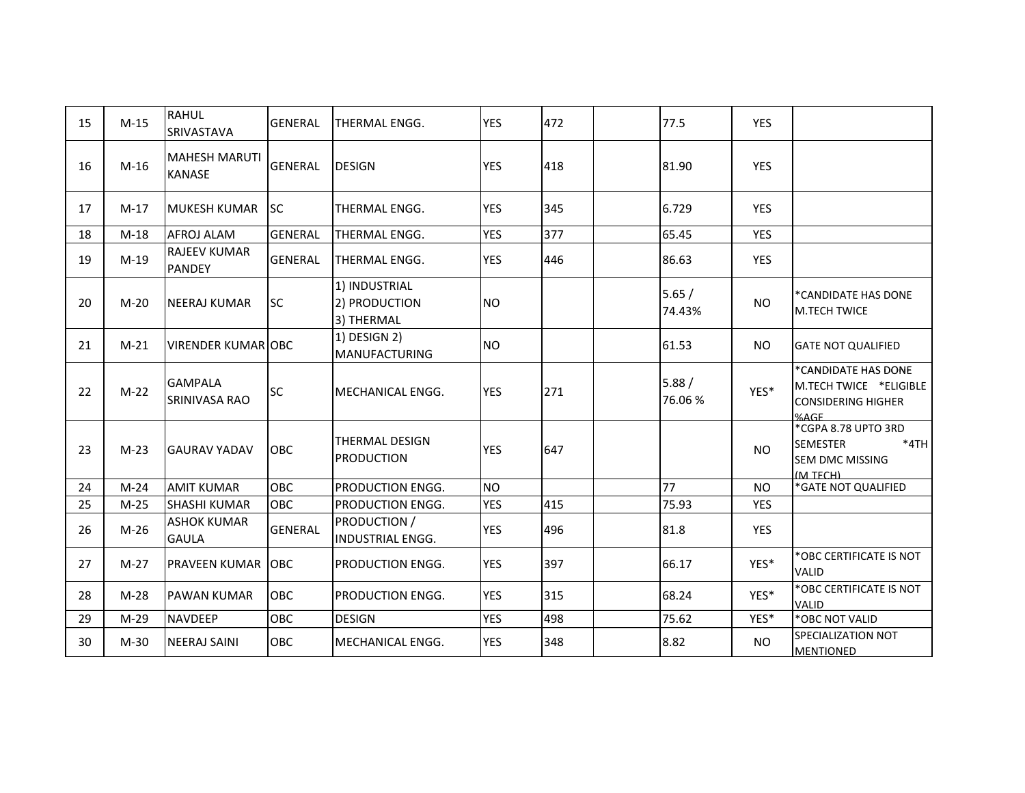| 15 | $M-15$ | <b>RAHUL</b><br>SRIVASTAVA            | <b>GENERAL</b> | THERMAL ENGG.                                | <b>YES</b> | 472 | 77.5            | <b>YES</b> |                                                                                        |
|----|--------|---------------------------------------|----------------|----------------------------------------------|------------|-----|-----------------|------------|----------------------------------------------------------------------------------------|
| 16 | $M-16$ | <b>MAHESH MARUTI</b><br><b>KANASE</b> | <b>GENERAL</b> | <b>DESIGN</b>                                | <b>YES</b> | 418 | 81.90           | <b>YES</b> |                                                                                        |
| 17 | $M-17$ | <b>MUKESH KUMAR</b>                   | lsc            | <b>THERMAL ENGG.</b>                         | <b>YES</b> | 345 | 6.729           | <b>YES</b> |                                                                                        |
| 18 | $M-18$ | AFROJ ALAM                            | <b>GENERAL</b> | <b>THERMAL ENGG.</b>                         | <b>YES</b> | 377 | 65.45           | <b>YES</b> |                                                                                        |
| 19 | $M-19$ | <b>RAJEEV KUMAR</b><br><b>PANDEY</b>  | <b>GENERAL</b> | <b>THERMAL ENGG.</b>                         | YES        | 446 | 86.63           | YES        |                                                                                        |
| 20 | $M-20$ | <b>NEERAJ KUMAR</b>                   | <b>SC</b>      | 1) INDUSTRIAL<br>2) PRODUCTION<br>3) THERMAL | <b>NO</b>  |     | 5.65/<br>74.43% | <b>NO</b>  | *CANDIDATE HAS DONE<br><b>M.TECH TWICE</b>                                             |
| 21 | $M-21$ | <b>VIRENDER KUMAR OBC</b>             |                | 1) DESIGN 2)<br><b>MANUFACTURING</b>         | <b>NO</b>  |     | 61.53           | <b>NO</b>  | <b>GATE NOT QUALIFIED</b>                                                              |
| 22 | $M-22$ | <b>GAMPALA</b><br>SRINIVASA RAO       | <b>SC</b>      | MECHANICAL ENGG.                             | <b>YES</b> | 271 | 5.88/<br>76.06% | YES*       | *CANDIDATE HAS DONE<br>M.TECH TWICE *ELIGIBLE<br><b>CONSIDERING HIGHER</b><br>%AGF     |
| 23 | $M-23$ | <b>GAURAV YADAV</b>                   | OBC            | <b>THERMAL DESIGN</b><br><b>PRODUCTION</b>   | <b>YES</b> | 647 |                 | <b>NO</b>  | *CGPA 8.78 UPTO 3RD<br>$*4TH$<br><b>SEMESTER</b><br><b>SEM DMC MISSING</b><br>(M TFCH) |
| 24 | $M-24$ | <b>AMIT KUMAR</b>                     | OBC            | PRODUCTION ENGG.                             | <b>NO</b>  |     | 77              | <b>NO</b>  | *GATE NOT QUALIFIED                                                                    |
| 25 | $M-25$ | <b>SHASHI KUMAR</b>                   | OBC            | PRODUCTION ENGG.                             | <b>YES</b> | 415 | 75.93           | <b>YES</b> |                                                                                        |
| 26 | $M-26$ | <b>ASHOK KUMAR</b><br><b>GAULA</b>    | <b>GENERAL</b> | PRODUCTION /<br><b>INDUSTRIAL ENGG.</b>      | <b>YES</b> | 496 | 81.8            | <b>YES</b> |                                                                                        |
| 27 | $M-27$ | <b>PRAVEEN KUMAR</b>                  | <b>OBC</b>     | PRODUCTION ENGG.                             | <b>YES</b> | 397 | 66.17           | YES*       | *OBC CERTIFICATE IS NOT<br><b>VALID</b>                                                |
| 28 | $M-28$ | <b>PAWAN KUMAR</b>                    | OBC            | PRODUCTION ENGG.                             | <b>YES</b> | 315 | 68.24           | YES*       | *OBC CERTIFICATE IS NOT<br><b>VALID</b>                                                |
| 29 | $M-29$ | <b>NAVDEEP</b>                        | <b>OBC</b>     | <b>DESIGN</b>                                | <b>YES</b> | 498 | 75.62           | YES*       | *OBC NOT VALID                                                                         |
| 30 | $M-30$ | <b>NEERAJ SAINI</b>                   | <b>OBC</b>     | <b>IMECHANICAL ENGG.</b>                     | <b>YES</b> | 348 | 8.82            | <b>NO</b>  | SPECIALIZATION NOT<br><b>MENTIONED</b>                                                 |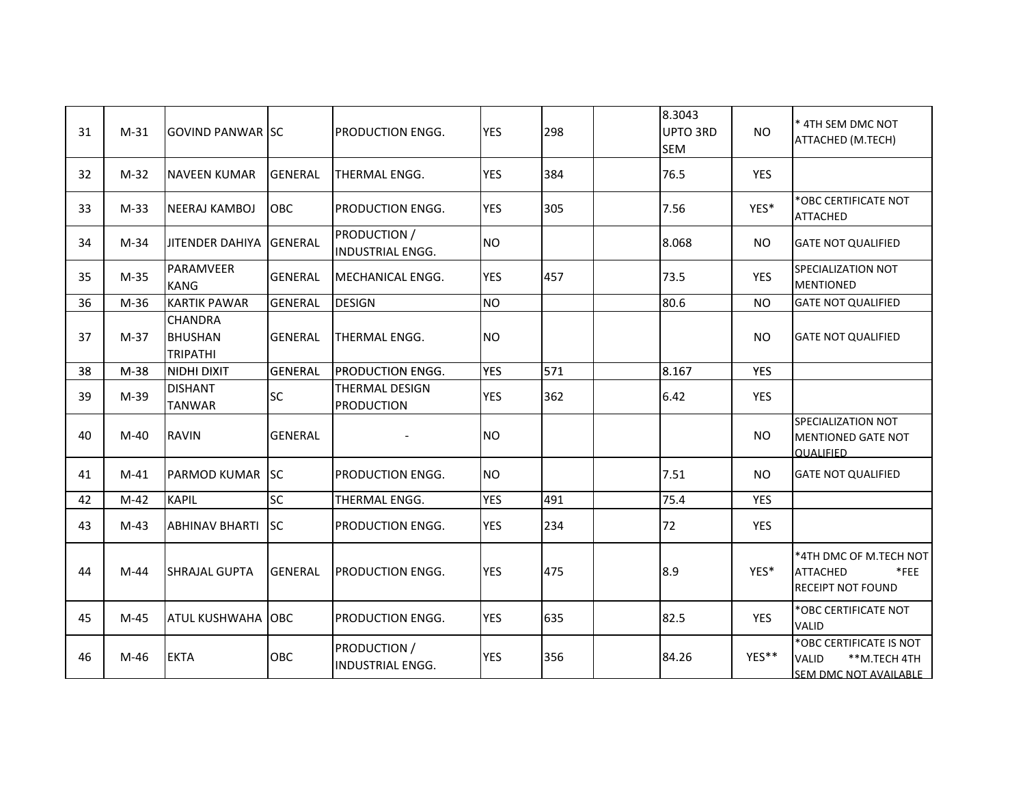| 31 | $M-31$ | <b>GOVIND PANWAR ISC</b>                            |                | <b>PRODUCTION ENGG.</b>                    | <b>YES</b> | 298 | 8.3043<br>UPTO 3RD<br><b>SEM</b> | <b>NO</b>  | * 4TH SEM DMC NOT<br>ATTACHED (M.TECH)                                           |
|----|--------|-----------------------------------------------------|----------------|--------------------------------------------|------------|-----|----------------------------------|------------|----------------------------------------------------------------------------------|
| 32 | $M-32$ | <b>NAVEEN KUMAR</b>                                 | <b>GENERAL</b> | <b>THERMAL ENGG.</b>                       | <b>YES</b> | 384 | 76.5                             | <b>YES</b> |                                                                                  |
| 33 | $M-33$ | <b>NEERAJ KAMBOJ</b>                                | <b>OBC</b>     | PRODUCTION ENGG.                           | <b>YES</b> | 305 | 7.56                             | YES*       | *OBC CERTIFICATE NOT<br><b>ATTACHED</b>                                          |
| 34 | $M-34$ | JITENDER DAHIYA                                     | <b>GENERAL</b> | PRODUCTION /<br>INDUSTRIAL ENGG.           | <b>NO</b>  |     | 8.068                            | <b>NO</b>  | <b>GATE NOT QUALIFIED</b>                                                        |
| 35 | $M-35$ | PARAMVEER<br><b>KANG</b>                            | <b>GENERAL</b> | MECHANICAL ENGG.                           | <b>YES</b> | 457 | 73.5                             | <b>YES</b> | SPECIALIZATION NOT<br><b>MENTIONED</b>                                           |
| 36 | $M-36$ | <b>KARTIK PAWAR</b>                                 | <b>GENERAL</b> | <b>DESIGN</b>                              | <b>NO</b>  |     | 80.6                             | <b>NO</b>  | <b>GATE NOT QUALIFIED</b>                                                        |
| 37 | $M-37$ | <b>CHANDRA</b><br><b>BHUSHAN</b><br><b>TRIPATHI</b> | <b>GENERAL</b> | THERMAL ENGG.                              | <b>NO</b>  |     |                                  | <b>NO</b>  | <b>GATE NOT QUALIFIED</b>                                                        |
| 38 | $M-38$ | NIDHI DIXIT                                         | <b>GENERAL</b> | <b>PRODUCTION ENGG.</b>                    | <b>YES</b> | 571 | 8.167                            | <b>YES</b> |                                                                                  |
| 39 | M-39   | <b>DISHANT</b><br><b>TANWAR</b>                     | SC             | <b>THERMAL DESIGN</b><br><b>PRODUCTION</b> | <b>YES</b> | 362 | 6.42                             | YES        |                                                                                  |
| 40 | $M-40$ | <b>RAVIN</b>                                        | <b>GENERAL</b> |                                            | <b>NO</b>  |     |                                  | <b>NO</b>  | SPECIALIZATION NOT<br>MENTIONED GATE NOT<br><b>OUALIFIED</b>                     |
| 41 | $M-41$ | <b>PARMOD KUMAR</b>                                 | <b>SC</b>      | PRODUCTION ENGG.                           | <b>NO</b>  |     | 7.51                             | <b>NO</b>  | <b>GATE NOT QUALIFIED</b>                                                        |
| 42 | $M-42$ | <b>KAPIL</b>                                        | SC             | THERMAL ENGG.                              | <b>YES</b> | 491 | 75.4                             | <b>YES</b> |                                                                                  |
| 43 | $M-43$ | <b>ABHINAV BHARTI</b>                               | <b>ISC</b>     | PRODUCTION ENGG.                           | <b>YES</b> | 234 | 72                               | <b>YES</b> |                                                                                  |
| 44 | $M-44$ | <b>SHRAJAL GUPTA</b>                                | <b>GENERAL</b> | PRODUCTION ENGG.                           | <b>YES</b> | 475 | 8.9                              | YES*       | *4TH DMC OF M.TECH NOT<br><b>ATTACHED</b><br>$*$ FEE<br><b>RECEIPT NOT FOUND</b> |
| 45 | $M-45$ | ATUL KUSHWAHA                                       | <b>OBC</b>     | PRODUCTION ENGG.                           | <b>YES</b> | 635 | 82.5                             | <b>YES</b> | *OBC CERTIFICATE NOT<br><b>VALID</b>                                             |
| 46 | M-46   | <b>EKTA</b>                                         | OBC            | PRODUCTION /<br><b>INDUSTRIAL ENGG.</b>    | <b>YES</b> | 356 | 84.26                            | YES**      | *OBC CERTIFICATE IS NOT<br><b>VALID</b><br>**M.TECH 4TH<br>SEM DMC NOT AVAILABLE |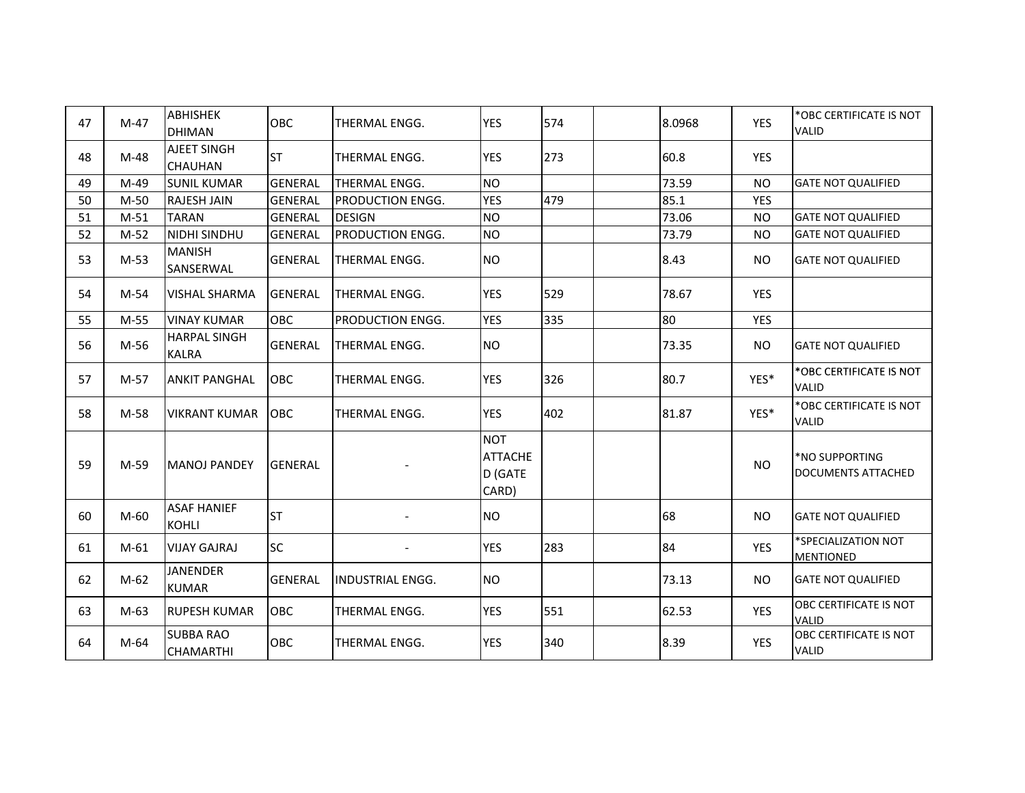| 47 | $M-47$ | <b>ABHISHEK</b><br><b>DHIMAN</b>     | OBC            | THERMAL ENGG.           | <b>YES</b>                                       | 574 | 8.0968 | <b>YES</b> | *OBC CERTIFICATE IS NOT<br><b>VALID</b>     |
|----|--------|--------------------------------------|----------------|-------------------------|--------------------------------------------------|-----|--------|------------|---------------------------------------------|
| 48 | $M-48$ | <b>AJEET SINGH</b><br><b>CHAUHAN</b> | <b>ST</b>      | <b>THERMAL ENGG.</b>    | <b>YES</b>                                       | 273 | 60.8   | <b>YES</b> |                                             |
| 49 | M-49   | <b>SUNIL KUMAR</b>                   | <b>GENERAL</b> | THERMAL ENGG.           | <b>NO</b>                                        |     | 73.59  | <b>NO</b>  | <b>GATE NOT QUALIFIED</b>                   |
| 50 | $M-50$ | <b>RAJESH JAIN</b>                   | <b>GENERAL</b> | <b>PRODUCTION ENGG.</b> | <b>YES</b>                                       | 479 | 85.1   | <b>YES</b> |                                             |
| 51 | $M-51$ | <b>TARAN</b>                         | <b>GENERAL</b> | <b>DESIGN</b>           | <b>NO</b>                                        |     | 73.06  | <b>NO</b>  | <b>GATE NOT QUALIFIED</b>                   |
| 52 | $M-52$ | NIDHI SINDHU                         | <b>GENERAL</b> | PRODUCTION ENGG.        | <b>NO</b>                                        |     | 73.79  | <b>NO</b>  | <b>GATE NOT QUALIFIED</b>                   |
| 53 | $M-53$ | <b>MANISH</b><br>SANSERWAL           | <b>GENERAL</b> | THERMAL ENGG.           | <b>NO</b>                                        |     | 8.43   | <b>NO</b>  | <b>GATE NOT QUALIFIED</b>                   |
| 54 | $M-54$ | <b>VISHAL SHARMA</b>                 | <b>GENERAL</b> | <b>THERMAL ENGG.</b>    | <b>YES</b>                                       | 529 | 78.67  | <b>YES</b> |                                             |
| 55 | $M-55$ | <b>VINAY KUMAR</b>                   | OBC            | PRODUCTION ENGG.        | <b>YES</b>                                       | 335 | 80     | <b>YES</b> |                                             |
| 56 | M-56   | <b>HARPAL SINGH</b><br><b>KALRA</b>  | <b>GENERAL</b> | <b>THERMAL ENGG.</b>    | <b>NO</b>                                        |     | 73.35  | <b>NO</b>  | <b>GATE NOT QUALIFIED</b>                   |
| 57 | $M-57$ | <b>ANKIT PANGHAL</b>                 | <b>OBC</b>     | <b>THERMAL ENGG.</b>    | <b>YES</b>                                       | 326 | 80.7   | YES*       | *OBC CERTIFICATE IS NOT<br>VALID            |
| 58 | M-58   | <b>VIKRANT KUMAR</b>                 | OBC            | <b>THERMAL ENGG.</b>    | <b>YES</b>                                       | 402 | 81.87  | YES*       | *OBC CERTIFICATE IS NOT<br><b>VALID</b>     |
| 59 | $M-59$ | <b>MANOJ PANDEY</b>                  | <b>GENERAL</b> |                         | <b>NOT</b><br><b>ATTACHE</b><br>D (GATE<br>CARD) |     |        | <b>NO</b>  | *NO SUPPORTING<br><b>DOCUMENTS ATTACHED</b> |
| 60 | M-60   | <b>ASAF HANIEF</b><br><b>KOHLI</b>   | <b>ST</b>      |                         | <b>NO</b>                                        |     | 68     | NO.        | <b>GATE NOT QUALIFIED</b>                   |
| 61 | $M-61$ | <b>VIJAY GAJRAJ</b>                  | <b>SC</b>      |                         | <b>YES</b>                                       | 283 | 84     | YES        | *SPECIALIZATION NOT<br><b>MENTIONED</b>     |
| 62 | $M-62$ | <b>JANENDER</b><br><b>KUMAR</b>      | <b>GENERAL</b> | <b>INDUSTRIAL ENGG.</b> | <b>NO</b>                                        |     | 73.13  | <b>NO</b>  | <b>GATE NOT QUALIFIED</b>                   |
| 63 | $M-63$ | <b>RUPESH KUMAR</b>                  | <b>OBC</b>     | THERMAL ENGG.           | <b>YES</b>                                       | 551 | 62.53  | <b>YES</b> | OBC CERTIFICATE IS NOT<br><b>VALID</b>      |
| 64 | M-64   | <b>SUBBA RAO</b><br><b>CHAMARTHI</b> | OBC            | THERMAL ENGG.           | <b>YES</b>                                       | 340 | 8.39   | YES        | OBC CERTIFICATE IS NOT<br>VALID             |